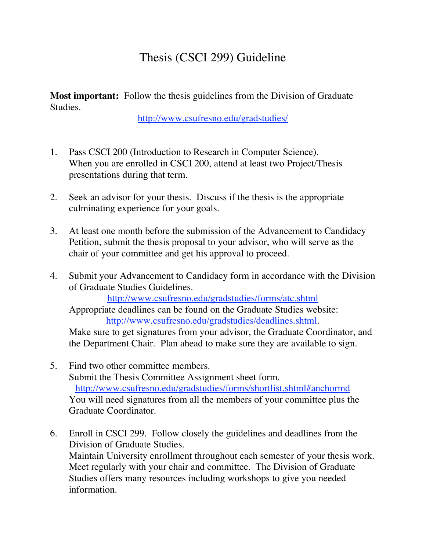## Thesis (CSCI 299) Guideline

**Most important:** Follow the thesis guidelines from the Division of Graduate Studies.

http://www.csufresno.edu/gradstudies/

- 1. Pass CSCI 200 (Introduction to Research in Computer Science). When you are enrolled in CSCI 200, attend at least two Project/Thesis presentations during that term.
- 2. Seek an advisor for your thesis. Discuss if the thesis is the appropriate culminating experience for your goals.
- 3. At least one month before the submission of the Advancement to Candidacy Petition, submit the thesis proposal to your advisor, who will serve as the chair of your committee and get his approval to proceed.
- 4. Submit your Advancement to Candidacy form in accordance with the Division of Graduate Studies Guidelines.

http://www.csufresno.edu/gradstudies/forms/atc.shtml

Appropriate deadlines can be found on the Graduate Studies website: http://www.csufresno.edu/gradstudies/deadlines.shtml.

Make sure to get signatures from your advisor, the Graduate Coordinator, and the Department Chair. Plan ahead to make sure they are available to sign.

- 5. Find two other committee members. Submit the Thesis Committee Assignment sheet form. http://www.csufresno.edu/gradstudies/forms/shortlist.shtml#anchormd You will need signatures from all the members of your committee plus the Graduate Coordinator.
- 6. Enroll in CSCI 299. Follow closely the guidelines and deadlines from the Division of Graduate Studies. Maintain University enrollment throughout each semester of your thesis work. Meet regularly with your chair and committee. The Division of Graduate Studies offers many resources including workshops to give you needed information.